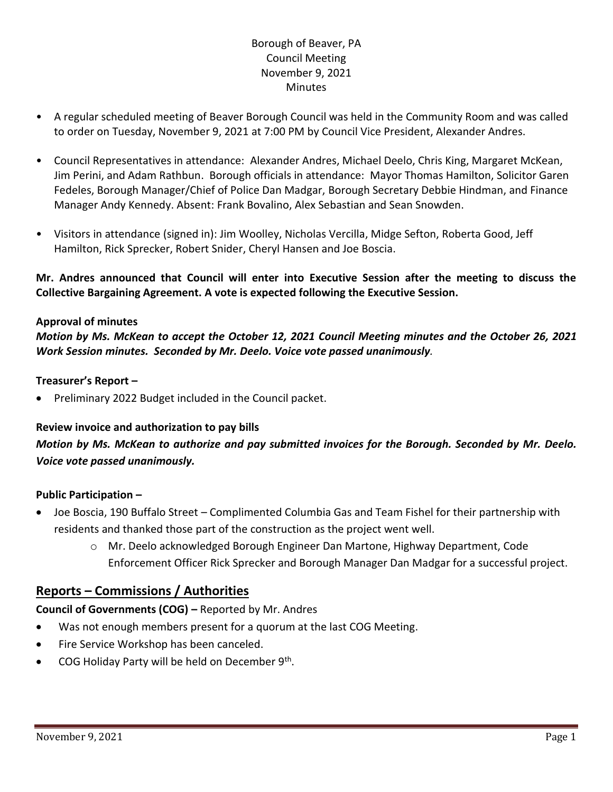## Borough of Beaver, PA Council Meeting November 9, 2021 **Minutes**

- A regular scheduled meeting of Beaver Borough Council was held in the Community Room and was called to order on Tuesday, November 9, 2021 at 7:00 PM by Council Vice President, Alexander Andres.
- Council Representatives in attendance: Alexander Andres, Michael Deelo, Chris King, Margaret McKean, Jim Perini, and Adam Rathbun. Borough officials in attendance: Mayor Thomas Hamilton, Solicitor Garen Fedeles, Borough Manager/Chief of Police Dan Madgar, Borough Secretary Debbie Hindman, and Finance Manager Andy Kennedy. Absent: Frank Bovalino, Alex Sebastian and Sean Snowden.
- Visitors in attendance (signed in): Jim Woolley, Nicholas Vercilla, Midge Sefton, Roberta Good, Jeff Hamilton, Rick Sprecker, Robert Snider, Cheryl Hansen and Joe Boscia.

**Mr. Andres announced that Council will enter into Executive Session after the meeting to discuss the Collective Bargaining Agreement. A vote is expected following the Executive Session.**

### **Approval of minutes**

*Motion by Ms. McKean to accept the October 12, 2021 Council Meeting minutes and the October 26, 2021 Work Session minutes. Seconded by Mr. Deelo. Voice vote passed unanimously.*

#### **Treasurer's Report –**

• Preliminary 2022 Budget included in the Council packet.

### **Review invoice and authorization to pay bills**

*Motion by Ms. McKean to authorize and pay submitted invoices for the Borough. Seconded by Mr. Deelo. Voice vote passed unanimously.*

#### **Public Participation –**

- Joe Boscia, 190 Buffalo Street Complimented Columbia Gas and Team Fishel for their partnership with residents and thanked those part of the construction as the project went well.
	- o Mr. Deelo acknowledged Borough Engineer Dan Martone, Highway Department, Code Enforcement Officer Rick Sprecker and Borough Manager Dan Madgar for a successful project.

## **Reports – Commissions / Authorities**

**Council of Governments (COG) –** Reported by Mr. Andres

- Was not enough members present for a quorum at the last COG Meeting.
- Fire Service Workshop has been canceled.
- COG Holiday Party will be held on December 9<sup>th</sup>.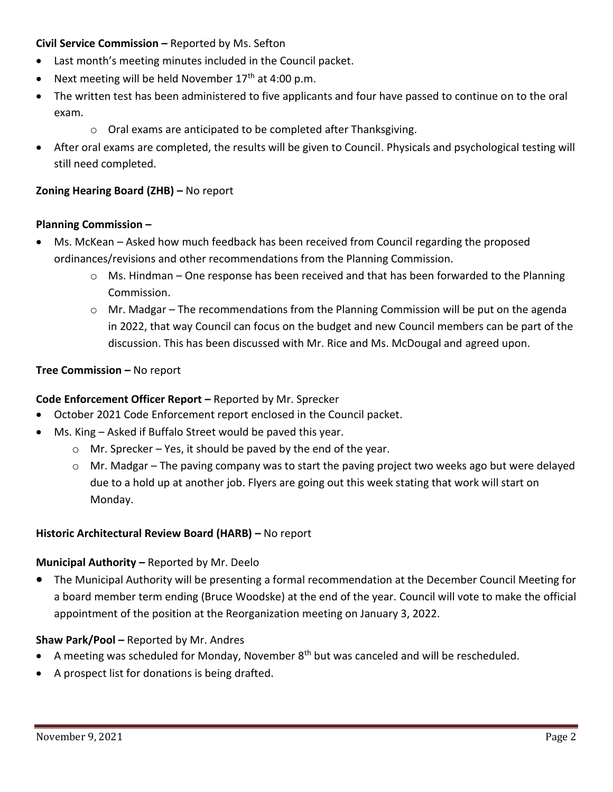### **Civil Service Commission –** Reported by Ms. Sefton

- Last month's meeting minutes included in the Council packet.
- Next meeting will be held November  $17<sup>th</sup>$  at 4:00 p.m.
- The written test has been administered to five applicants and four have passed to continue on to the oral exam.
	- o Oral exams are anticipated to be completed after Thanksgiving.
- After oral exams are completed, the results will be given to Council. Physicals and psychological testing will still need completed.

## **Zoning Hearing Board (ZHB) –** No report

## **Planning Commission –**

- Ms. McKean Asked how much feedback has been received from Council regarding the proposed ordinances/revisions and other recommendations from the Planning Commission.
	- $\circ$  Ms. Hindman One response has been received and that has been forwarded to the Planning Commission.
	- $\circ$  Mr. Madgar The recommendations from the Planning Commission will be put on the agenda in 2022, that way Council can focus on the budget and new Council members can be part of the discussion. This has been discussed with Mr. Rice and Ms. McDougal and agreed upon.

## **Tree Commission –** No report

## **Code Enforcement Officer Report –** Reported by Mr. Sprecker

- October 2021 Code Enforcement report enclosed in the Council packet.
- Ms. King Asked if Buffalo Street would be paved this year.
	- $\circ$  Mr. Sprecker Yes, it should be paved by the end of the year.
	- $\circ$  Mr. Madgar The paving company was to start the paving project two weeks ago but were delayed due to a hold up at another job. Flyers are going out this week stating that work will start on Monday.

### **Historic Architectural Review Board (HARB) –** No report

### **Municipal Authority –** Reported by Mr. Deelo

• The Municipal Authority will be presenting a formal recommendation at the December Council Meeting for a board member term ending (Bruce Woodske) at the end of the year. Council will vote to make the official appointment of the position at the Reorganization meeting on January 3, 2022.

## **Shaw Park/Pool –** Reported by Mr. Andres

- A meeting was scheduled for Monday, November  $8<sup>th</sup>$  but was canceled and will be rescheduled.
- A prospect list for donations is being drafted.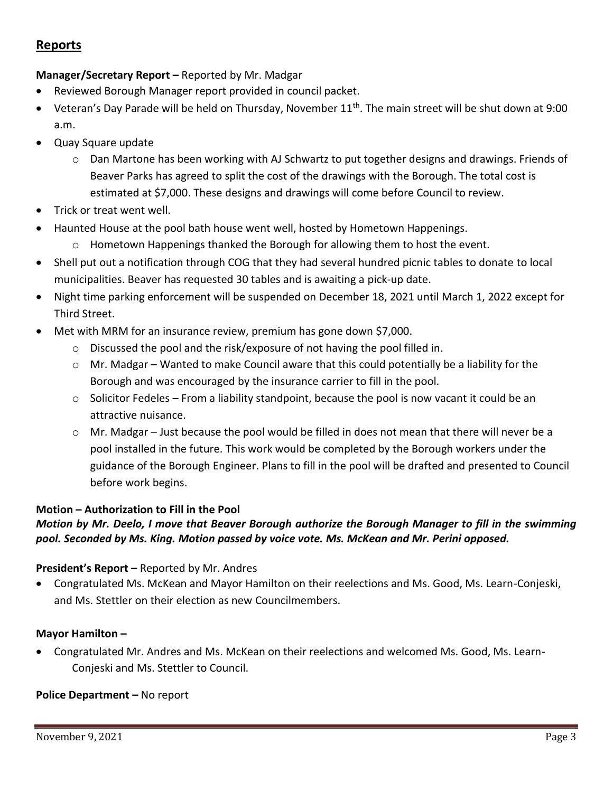# **Reports**

## **Manager/Secretary Report –** Reported by Mr. Madgar

- Reviewed Borough Manager report provided in council packet.
- Veteran's Day Parade will be held on Thursday, November 11<sup>th</sup>. The main street will be shut down at 9:00 a.m.
- Quay Square update
	- o Dan Martone has been working with AJ Schwartz to put together designs and drawings. Friends of Beaver Parks has agreed to split the cost of the drawings with the Borough. The total cost is estimated at \$7,000. These designs and drawings will come before Council to review.
- Trick or treat went well.
- Haunted House at the pool bath house went well, hosted by Hometown Happenings.
	- $\circ$  Hometown Happenings thanked the Borough for allowing them to host the event.
- Shell put out a notification through COG that they had several hundred picnic tables to donate to local municipalities. Beaver has requested 30 tables and is awaiting a pick-up date.
- Night time parking enforcement will be suspended on December 18, 2021 until March 1, 2022 except for Third Street.
- Met with MRM for an insurance review, premium has gone down \$7,000.
	- $\circ$  Discussed the pool and the risk/exposure of not having the pool filled in.
	- $\circ$  Mr. Madgar Wanted to make Council aware that this could potentially be a liability for the Borough and was encouraged by the insurance carrier to fill in the pool.
	- $\circ$  Solicitor Fedeles From a liability standpoint, because the pool is now vacant it could be an attractive nuisance.
	- $\circ$  Mr. Madgar Just because the pool would be filled in does not mean that there will never be a pool installed in the future. This work would be completed by the Borough workers under the guidance of the Borough Engineer. Plans to fill in the pool will be drafted and presented to Council before work begins.

### **Motion – Authorization to Fill in the Pool**

## *Motion by Mr. Deelo, I move that Beaver Borough authorize the Borough Manager to fill in the swimming pool. Seconded by Ms. King. Motion passed by voice vote. Ms. McKean and Mr. Perini opposed.*

### **President's Report –** Reported by Mr. Andres

• Congratulated Ms. McKean and Mayor Hamilton on their reelections and Ms. Good, Ms. Learn-Conjeski, and Ms. Stettler on their election as new Councilmembers.

### **Mayor Hamilton –**

• Congratulated Mr. Andres and Ms. McKean on their reelections and welcomed Ms. Good, Ms. Learn-Conjeski and Ms. Stettler to Council.

### **Police Department – No report**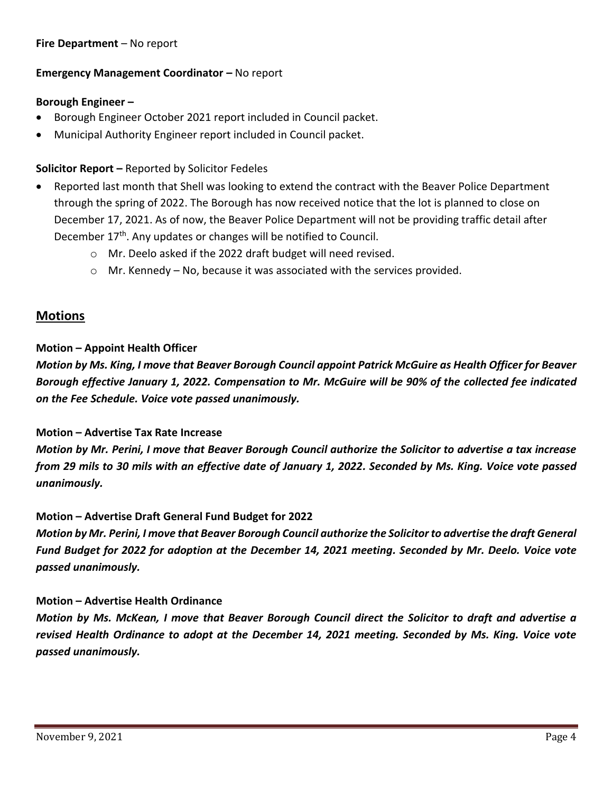#### **Fire Department** – No report

#### **Emergency Management Coordinator – No report**

#### **Borough Engineer –**

- Borough Engineer October 2021 report included in Council packet.
- Municipal Authority Engineer report included in Council packet.

### **Solicitor Report –** Reported by Solicitor Fedeles

- Reported last month that Shell was looking to extend the contract with the Beaver Police Department through the spring of 2022. The Borough has now received notice that the lot is planned to close on December 17, 2021. As of now, the Beaver Police Department will not be providing traffic detail after December 17<sup>th</sup>. Any updates or changes will be notified to Council.
	- o Mr. Deelo asked if the 2022 draft budget will need revised.
	- $\circ$  Mr. Kennedy No, because it was associated with the services provided.

## **Motions**

### **Motion – Appoint Health Officer**

*Motion by Ms. King, I move that Beaver Borough Council appoint Patrick McGuire as Health Officer for Beaver Borough effective January 1, 2022. Compensation to Mr. McGuire will be 90% of the collected fee indicated on the Fee Schedule. Voice vote passed unanimously.*

#### **Motion – Advertise Tax Rate Increase**

*Motion by Mr. Perini, I move that Beaver Borough Council authorize the Solicitor to advertise a tax increase from 29 mils to 30 mils with an effective date of January 1, 2022. Seconded by Ms. King. Voice vote passed unanimously.*

### **Motion – Advertise Draft General Fund Budget for 2022**

*Motion by Mr. Perini, I move that Beaver Borough Council authorize the Solicitor to advertise the draft General Fund Budget for 2022 for adoption at the December 14, 2021 meeting. Seconded by Mr. Deelo. Voice vote passed unanimously.*

### **Motion – Advertise Health Ordinance**

*Motion by Ms. McKean, I move that Beaver Borough Council direct the Solicitor to draft and advertise a revised Health Ordinance to adopt at the December 14, 2021 meeting. Seconded by Ms. King. Voice vote passed unanimously.*